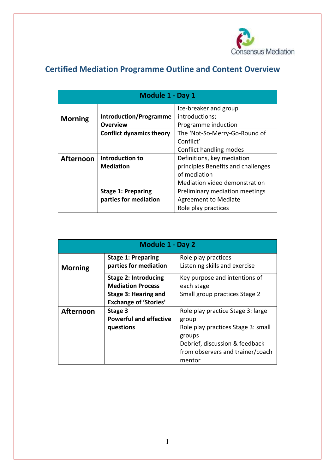

# **Certified Mediation Programme Outline and Content Overview**

| <b>Module 1 - Day 1</b> |                                 |                                    |
|-------------------------|---------------------------------|------------------------------------|
|                         |                                 | Ice-breaker and group              |
| <b>Morning</b>          | <b>Introduction/Programme</b>   | introductions;                     |
|                         | Overview                        | Programme induction                |
|                         | <b>Conflict dynamics theory</b> | The 'Not-So-Merry-Go-Round of      |
|                         |                                 | Conflict'                          |
|                         |                                 | Conflict handling modes            |
| <b>Afternoon</b>        | Introduction to                 | Definitions, key mediation         |
|                         | <b>Mediation</b>                | principles Benefits and challenges |
|                         |                                 | of mediation                       |
|                         |                                 | Mediation video demonstration      |
|                         | <b>Stage 1: Preparing</b>       | Preliminary mediation meetings     |
|                         | parties for mediation           | <b>Agreement to Mediate</b>        |
|                         |                                 | Role play practices                |

| <b>Module 1 - Day 2</b> |                                                                                                                 |                                                                                                                                                                            |
|-------------------------|-----------------------------------------------------------------------------------------------------------------|----------------------------------------------------------------------------------------------------------------------------------------------------------------------------|
| <b>Morning</b>          | <b>Stage 1: Preparing</b><br>parties for mediation                                                              | Role play practices<br>Listening skills and exercise                                                                                                                       |
|                         | <b>Stage 2: Introducing</b><br><b>Mediation Process</b><br>Stage 3: Hearing and<br><b>Exchange of 'Stories'</b> | Key purpose and intentions of<br>each stage<br>Small group practices Stage 2                                                                                               |
| <b>Afternoon</b>        | Stage 3<br><b>Powerful and effective</b><br>questions                                                           | Role play practice Stage 3: large<br>group<br>Role play practices Stage 3: small<br>groups<br>Debrief, discussion & feedback<br>from observers and trainer/coach<br>mentor |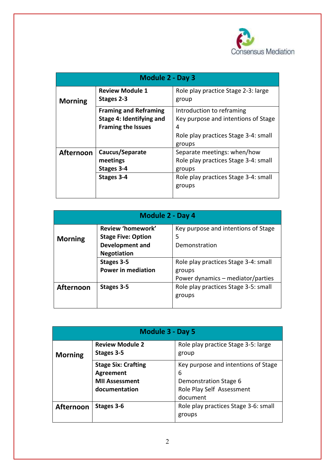

| <b>Module 2 - Day 3</b> |                                                                                       |                                                                                                                                 |
|-------------------------|---------------------------------------------------------------------------------------|---------------------------------------------------------------------------------------------------------------------------------|
| <b>Morning</b>          | <b>Review Module 1</b><br>Stages 2-3                                                  | Role play practice Stage 2-3: large<br>group                                                                                    |
|                         | <b>Framing and Reframing</b><br>Stage 4: Identifying and<br><b>Framing the Issues</b> | Introduction to reframing<br>Key purpose and intentions of Stage<br>4<br>Role play practices Stage 3-4: small<br>groups         |
| <b>Afternoon</b>        | Caucus/Separate<br>meetings<br>Stages 3-4<br>Stages 3-4                               | Separate meetings: when/how<br>Role play practices Stage 3-4: small<br>groups<br>Role play practices Stage 3-4: small<br>groups |

| <b>Module 2 - Day 4</b> |                           |                                      |  |
|-------------------------|---------------------------|--------------------------------------|--|
|                         | Review 'homework'         | Key purpose and intentions of Stage  |  |
| <b>Morning</b>          | <b>Stage Five: Option</b> | 5                                    |  |
|                         | <b>Development and</b>    | Demonstration                        |  |
|                         | <b>Negotiation</b>        |                                      |  |
|                         | Stages 3-5                | Role play practices Stage 3-4: small |  |
|                         | <b>Power in mediation</b> | groups                               |  |
|                         |                           | Power dynamics – mediator/parties    |  |
| <b>Afternoon</b>        | Stages 3-5                | Role play practices Stage 3-5: small |  |
|                         |                           | groups                               |  |
|                         |                           |                                      |  |

| <b>Module 3 - Day 5</b> |                                                                                   |                                                                                                            |
|-------------------------|-----------------------------------------------------------------------------------|------------------------------------------------------------------------------------------------------------|
| <b>Morning</b>          | <b>Review Module 2</b><br>Stages 3-5                                              | Role play practice Stage 3-5: large<br>group                                                               |
|                         | <b>Stage Six: Crafting</b><br>Agreement<br><b>MII Assessment</b><br>documentation | Key purpose and intentions of Stage<br>6<br>Demonstration Stage 6<br>Role Play Self Assessment<br>document |
| <b>Afternoon</b>        | Stages 3-6                                                                        | Role play practices Stage 3-6: small<br>groups                                                             |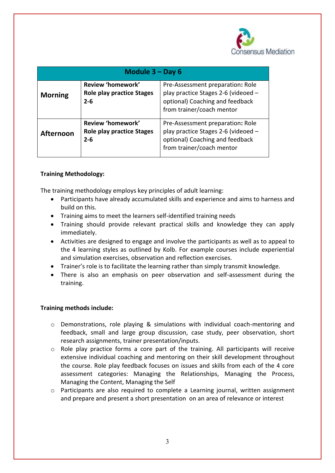

| Module $3 - Day 6$ |                                                                  |                                                                                                                                         |
|--------------------|------------------------------------------------------------------|-----------------------------------------------------------------------------------------------------------------------------------------|
| <b>Morning</b>     | Review 'homework'<br><b>Role play practice Stages</b><br>$2 - 6$ | Pre-Assessment preparation: Role<br>play practice Stages 2-6 (videoed -<br>optional) Coaching and feedback<br>from trainer/coach mentor |
| <b>Afternoon</b>   | Review 'homework'<br><b>Role play practice Stages</b><br>$2 - 6$ | Pre-Assessment preparation: Role<br>play practice Stages 2-6 (videoed -<br>optional) Coaching and feedback<br>from trainer/coach mentor |

## **Training Methodology:**

The training methodology employs key principles of adult learning:

- Participants have already accumulated skills and experience and aims to harness and build on this.
- Training aims to meet the learners self-identified training needs
- Training should provide relevant practical skills and knowledge they can apply immediately.
- Activities are designed to engage and involve the participants as well as to appeal to the 4 learning styles as outlined by Kolb. For example courses include experiential and simulation exercises, observation and reflection exercises.
- Trainer's role is to facilitate the learning rather than simply transmit knowledge.
- There is also an emphasis on peer observation and self-assessment during the training.

#### **Training methods include:**

- $\circ$  Demonstrations, role playing & simulations with individual coach-mentoring and feedback, small and large group discussion, case study, peer observation, short research assignments, trainer presentation/inputs.
- $\circ$  Role play practice forms a core part of the training. All participants will receive extensive individual coaching and mentoring on their skill development throughout the course. Role play feedback focuses on issues and skills from each of the 4 core assessment categories: Managing the Relationships, Managing the Process, Managing the Content, Managing the Self
- $\circ$  Participants are also required to complete a Learning journal, written assignment and prepare and present a short presentation on an area of relevance or interest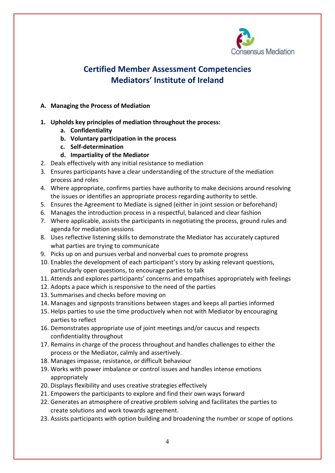

# **Certified Member Assessment Competencies Mediators' Institute of Ireland**

#### **A. Managing the Process of Mediation**

- **1. Upholds key principles of mediation throughout the process:**
	- **a. Confidentiality**
	- **b. Voluntary participation in the process**
	- **c. Self-determination**
	- **d. Impartiality of the Mediator**
- 2. Deals effectively with any initial resistance to mediation
- 3. Ensures participants have a clear understanding of the structure of the mediation process and roles
- 4. Where appropriate, confirms parties have authority to make decisions around resolving the issues or identifies an appropriate process regarding authority to settle.
- 5. Ensures the Agreement to Mediate is signed (either in joint session or beforehand)
- 6. Manages the introduction process in a respectful, balanced and clear fashion
- 7. Where applicable, assists the participants in negotiating the process, ground rules and agenda for mediation sessions
- 8. Uses reflective listening skills to demonstrate the Mediator has accurately captured what parties are trying to communicate
- 9. Picks up on and pursues verbal and nonverbal cues to promote progress
- 10. Enables the development of each participant's story by asking relevant questions, particularly open questions, to encourage parties to talk
- 11. Attends and explores participants' concerns and empathises appropriately with feelings
- 12. Adopts a pace which is responsive to the need of the parties
- 13. Summarises and checks before moving on
- 14. Manages and signposts transitions between stages and keeps all parties informed
- 15. Helps parties to use the time productively when not with Mediator by encouraging parties to reflect
- 16. Demonstrates appropriate use of joint meetings and/or caucus and respects confidentiality throughout
- 17. Remains in charge of the process throughout and handles challenges to either the process or the Mediator, calmly and assertively.
- 18. Manages impasse, resistance, or difficult behaviour
- 19. Works with power imbalance or control issues and handles intense emotions appropriately
- 20. Displays flexibility and uses creative strategies effectively
- 21. Empowers the participants to explore and find their own ways forward
- 22. Generates an atmosphere of creative problem solving and facilitates the parties to create solutions and work towards agreement.
- 23. Assists participants with option building and broadening the number or scope of options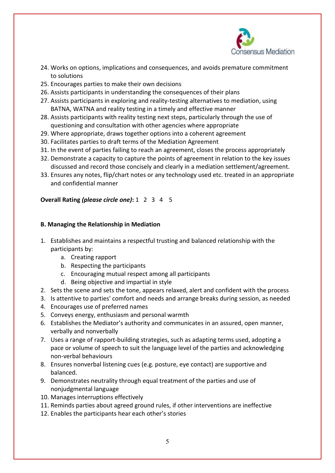

- 24. Works on options, implications and consequences, and avoids premature commitment to solutions
- 25. Encourages parties to make their own decisions
- 26. Assists participants in understanding the consequences of their plans
- 27. Assists participants in exploring and reality-testing alternatives to mediation, using BATNA, WATNA and reality testing in a timely and effective manner
- 28. Assists participants with reality testing next steps, particularly through the use of questioning and consultation with other agencies where appropriate
- 29. Where appropriate, draws together options into a coherent agreement
- 30. Facilitates parties to draft terms of the Mediation Agreement
- 31. In the event of parties failing to reach an agreement, closes the process appropriately
- 32. Demonstrate a capacity to capture the points of agreement in relation to the key issues discussed and record those concisely and clearly in a mediation settlement/agreement.
- 33. Ensures any notes, flip/chart notes or any technology used etc. treated in an appropriate and confidential manner

#### **Overall Rating** *(please circle one)***:** 1 2 3 4 5

#### **B. Managing the Relationship in Mediation**

- 1. Establishes and maintains a respectful trusting and balanced relationship with the participants by:
	- a. Creating rapport
	- b. Respecting the participants
	- c. Encouraging mutual respect among all participants
	- d. Being objective and impartial in style
- 2. Sets the scene and sets the tone, appears relaxed, alert and confident with the process
- 3. Is attentive to parties' comfort and needs and arrange breaks during session, as needed
- 4. Encourages use of preferred names
- 5. Conveys energy, enthusiasm and personal warmth
- 6. Establishes the Mediator's authority and communicates in an assured, open manner, verbally and nonverbally
- 7. Uses a range of rapport-building strategies, such as adapting terms used, adopting a pace or volume of speech to suit the language level of the parties and acknowledging non-verbal behaviours
- 8. Ensures nonverbal listening cues (e.g. posture, eye contact) are supportive and balanced.
- 9. Demonstrates neutrality through equal treatment of the parties and use of nonjudgmental language
- 10. Manages interruptions effectively
- 11. Reminds parties about agreed ground rules, if other interventions are ineffective
- 12. Enables the participants hear each other's stories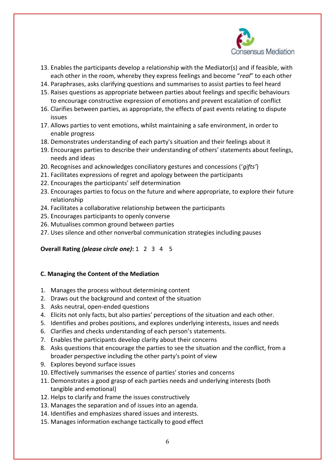

- 13. Enables the participants develop a relationship with the Mediator(s) and if feasible, with each other in the room, whereby they express feelings and become "*real*" to each other
- 14. Paraphrases, asks clarifying questions and summarises to assist parties to feel heard
- 15. Raises questions as appropriate between parties about feelings and specific behaviours to encourage constructive expression of emotions and prevent escalation of conflict
- 16. Clarifies between parties, as appropriate, the effects of past events relating to dispute issues
- 17. Allows parties to vent emotions, whilst maintaining a safe environment, in order to enable progress
- 18. Demonstrates understanding of each party's situation and their feelings about it
- 19. Encourages parties to describe their understanding of others' statements about feelings, needs and ideas
- 20. Recognises and acknowledges conciliatory gestures and concessions ('*gifts'*)
- 21. Facilitates expressions of regret and apology between the participants
- 22. Encourages the participants' self determination
- 23. Encourages parties to focus on the future and where appropriate, to explore their future relationship
- 24. Facilitates a collaborative relationship between the participants
- 25. Encourages participants to openly converse
- 26. Mutualises common ground between parties
- 27. Uses silence and other nonverbal communication strategies including pauses

## **Overall Rating** *(please circle one)***:** 1 2 3 4 5

#### **C. Managing the Content of the Mediation**

- 1. Manages the process without determining content
- 2. Draws out the background and context of the situation
- 3. Asks neutral, open-ended questions
- 4. Elicits not only facts, but also parties' perceptions of the situation and each other.
- 5. Identifies and probes positions, and explores underlying interests, issues and needs
- 6. Clarifies and checks understanding of each person's statements.
- 7. Enables the participants develop clarity about their concerns
- 8. Asks questions that encourage the parties to see the situation and the conflict, from a broader perspective including the other party's point of view
- 9. Explores beyond surface issues
- 10. Effectively summarises the essence of parties' stories and concerns
- 11. Demonstrates a good grasp of each parties needs and underlying interests (both tangible and emotional)
- 12. Helps to clarify and frame the issues constructively
- 13. Manages the separation and of issues into an agenda.
- 14. Identifies and emphasizes shared issues and interests.
- 15. Manages information exchange tactically to good effect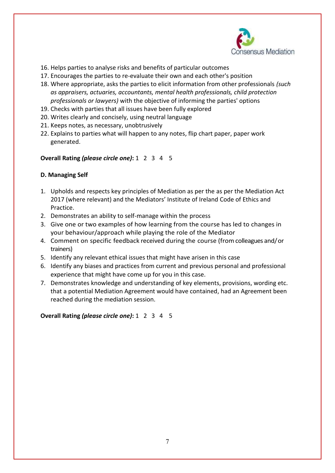

- 16. Helps parties to analyse risks and benefits of particular outcomes
- 17. Encourages the parties to re-evaluate their own and each other's position
- 18. Where appropriate, asks the parties to elicit information from other professionals *(such as appraisers, actuaries, accountants, mental health professionals, child protection professionals or lawyers)* with the objective of informing the parties' options
- 19. Checks with parties that all issues have been fully explored
- 20. Writes clearly and concisely, using neutral language
- 21. Keeps notes, as necessary, unobtrusively
- 22. Explains to parties what will happen to any notes, flip chart paper, paper work generated.

#### **Overall Rating** *(please circle one)***:** 1 2 3 4 5

#### **D. Managing Self**

- 1. Upholds and respects key principles of Mediation as per the as per the Mediation Act 2017 (where relevant) and the Mediators' Institute of Ireland Code of Ethics and Practice.
- 2. Demonstrates an ability to self-manage within the process
- 3. Give one or two examples of how learning from the course has led to changes in your behaviour/approach while playing the role of the Mediator
- 4. Comment on specific feedback received during the course (fromcolleagues and/or trainers)
- 5. Identify any relevant ethical issues that might have arisen in this case
- 6. Identify any biases and practices from current and previous personal and professional experience that might have come up for you in this case.
- 7. Demonstrates knowledge and understanding of key elements, provisions, wording etc. that a potential Mediation Agreement would have contained, had an Agreement been reached during the mediation session.

**Overall Rating** *(please circle one)***:** 1 2 3 4 5